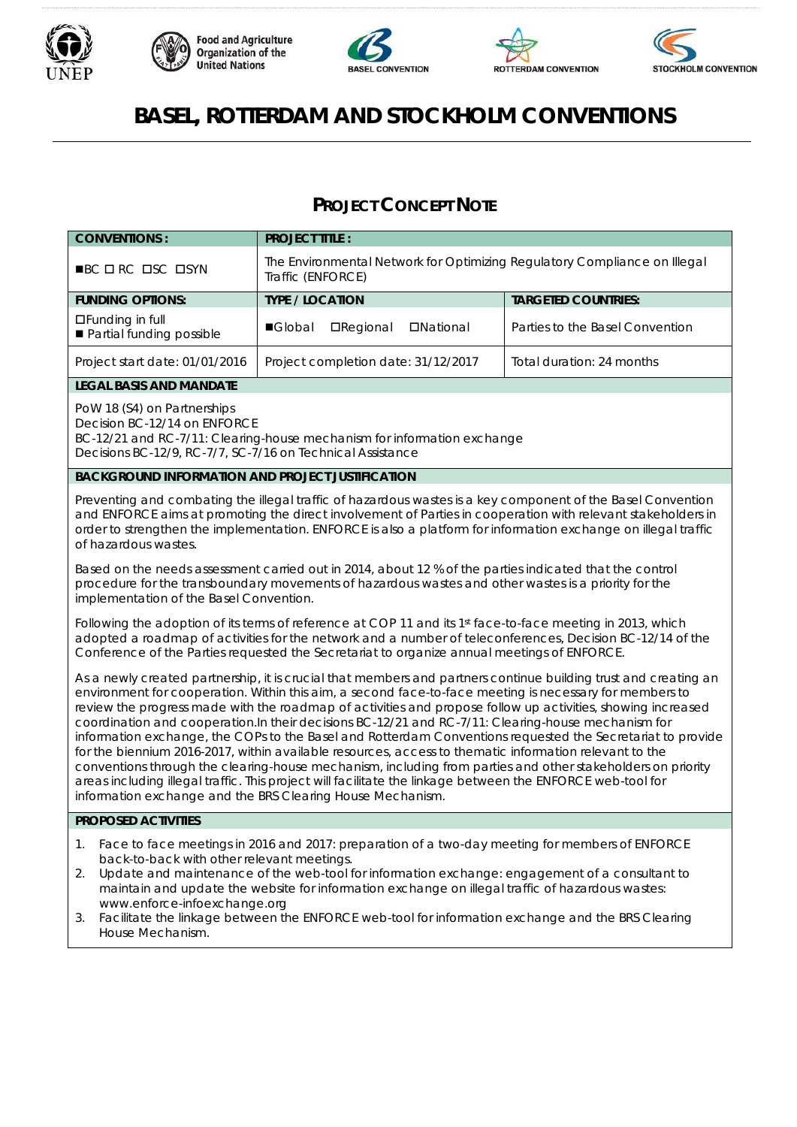









# **BASEL, ROTTERDAM AND STOCKHOLM CONVENTIONS**

# **PROJECT CONCEPT NOTE**

| <b>CONVENTIONS:</b>                                                                                                                                                                                  | <b>PROJECT TITLE:</b>                                                                          |                                 |  |
|------------------------------------------------------------------------------------------------------------------------------------------------------------------------------------------------------|------------------------------------------------------------------------------------------------|---------------------------------|--|
| $\blacksquare$ BC $\Box$ RC $\Box$ SC $\Box$ SYN                                                                                                                                                     | The Environmental Network for Optimizing Regulatory Compliance on Illegal<br>Traffic (ENFORCE) |                                 |  |
| <b>FUNDING OPTIONS:</b>                                                                                                                                                                              | <b>TYPE / LOCATION</b>                                                                         | <b>TARGETED COUNTRIES:</b>      |  |
| $\Box$ Funding in full<br>Partial funding possible                                                                                                                                                   | <b>□</b> Regional<br><b>DNational</b><br>■Global                                               | Parties to the Basel Convention |  |
| Project start date: 01/01/2016                                                                                                                                                                       | Project completion date: 31/12/2017                                                            | Total duration: 24 months       |  |
| <b>LEGAL BASIS AND MANDATE</b>                                                                                                                                                                       |                                                                                                |                                 |  |
| PoW 18 (S4) on Partnerships<br>Decision BC-12/14 on ENFORCE<br>BC-12/21 and RC-7/11: Clearing-house mechanism for information exchange<br>Decisions BC-12/9, RC-7/7, SC-7/16 on Technical Assistance |                                                                                                |                                 |  |
| <b>BACKGROUND INFORMATION AND PROJECT JUSTIFICATION</b>                                                                                                                                              |                                                                                                |                                 |  |
|                                                                                                                                                                                                      |                                                                                                |                                 |  |

Preventing and combating the illegal traffic of hazardous wastes is a key component of the Basel Convention and ENFORCE aims at promoting the direct involvement of Parties in cooperation with relevant stakeholders in order to strengthen the implementation. ENFORCE is also a platform for information exchange on illegal traffic of hazardous wastes.

Based on the needs assessment carried out in 2014, about 12 % of the parties indicated that the control procedure for the transboundary movements of hazardous wastes and other wastes is a priority for the implementation of the Basel Convention.

Following the adoption of its terms of reference at COP 11 and its 1st face-to-face meeting in 2013, which adopted a roadmap of activities for the network and a number of teleconferences, Decision BC-12/14 of the Conference of the Parties requested the Secretariat to organize annual meetings of ENFORCE.

As a newly created partnership, it is crucial that members and partners continue building trust and creating an environment for cooperation. Within this aim, a second face-to-face meeting is necessary for members to review the progress made with the roadmap of activities and propose follow up activities, showing increased coordination and cooperation.In their decisions BC-12/21 and RC-7/11: Clearing-house mechanism for information exchange, the COPs to the Basel and Rotterdam Conventions requested the Secretariat to provide for the biennium 2016-2017, within available resources, access to thematic information relevant to the conventions through the clearing-house mechanism, including from parties and other stakeholders on priority areas including illegal traffic. This project will facilitate the linkage between the ENFORCE web-tool for information exchange and the BRS Clearing House Mechanism.

# **PROPOSED ACTIVITIES**

- Face to face meetings in 2016 and 2017: preparation of a two-day meeting for members of ENFORCE back-to-back with other relevant meetings.
- 2. Update and maintenance of the web-tool for information exchange: engagement of a consultant to maintain and update the website for information exchange on illegal traffic of hazardous wastes: www.enforce-infoexchange.org
- 3. Facilitate the linkage between the ENFORCE web-tool for information exchange and the BRS Clearing House Mechanism.